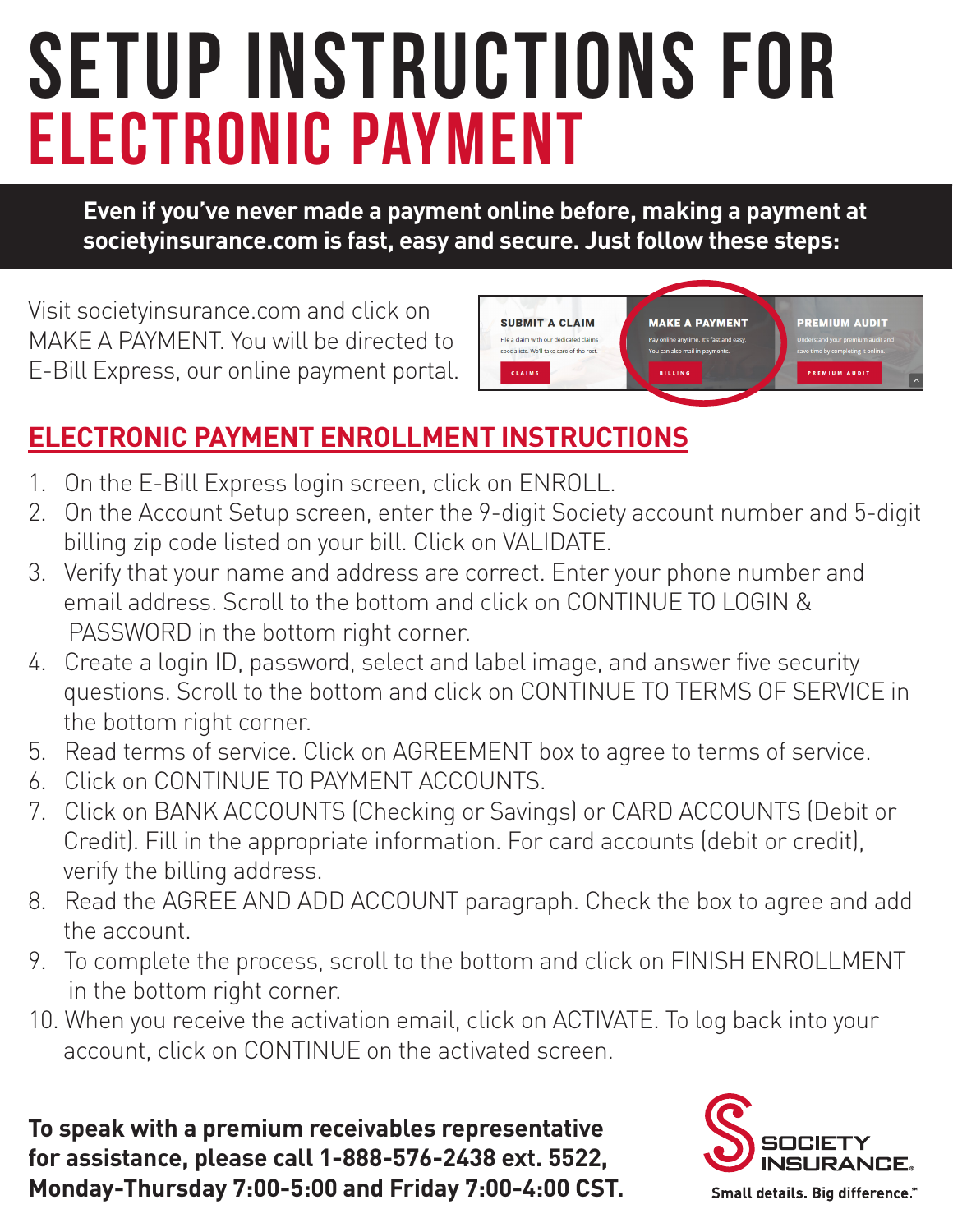## Electronic payment Setup instructions for

**Even if you've never made a payment online before, making a payment at societyinsurance.com is fast, easy and secure. Just follow these steps:**

Visit societyinsurance.com and click on MAKE A PAYMENT. You will be directed to E-Bill Express, our online payment portal.



#### **ELECTRONIC PAYMENT ENROLLMENT INSTRUCTIONS**

- 1. On the E-Bill Express login screen, click on ENROLL.
- 2. On the Account Setup screen, enter the 9-digit Society account number and 5-digit billing zip code listed on your bill. Click on VALIDATE.
- 3. Verify that your name and address are correct. Enter your phone number and email address. Scroll to the bottom and click on CONTINUE TO LOGIN & PASSWORD in the bottom right corner.
- 4. Create a login ID, password, select and label image, and answer five security questions. Scroll to the bottom and click on CONTINUE TO TERMS OF SERVICE in the bottom right corner.
- 5. Read terms of service. Click on AGREEMENT box to agree to terms of service.
- 6. Click on CONTINUE TO PAYMENT ACCOUNTS.
- 7. Click on BANK ACCOUNTS (Checking or Savings) or CARD ACCOUNTS (Debit or Credit). Fill in the appropriate information. For card accounts (debit or credit), verify the billing address.
- 8. Read the AGREE AND ADD ACCOUNT paragraph. Check the box to agree and add the account.
- 9. To complete the process, scroll to the bottom and click on FINISH ENROLLMENT in the bottom right corner.
- 10. When you receive the activation email, click on ACTIVATE. To log back into your account, click on CONTINUE on the activated screen.

**To speak with a premium receivables representative for assistance, please call 1-888-576-2438 ext. 5522, Monday-Thursday 7:00-5:00 and Friday 7:00-4:00 CST.**